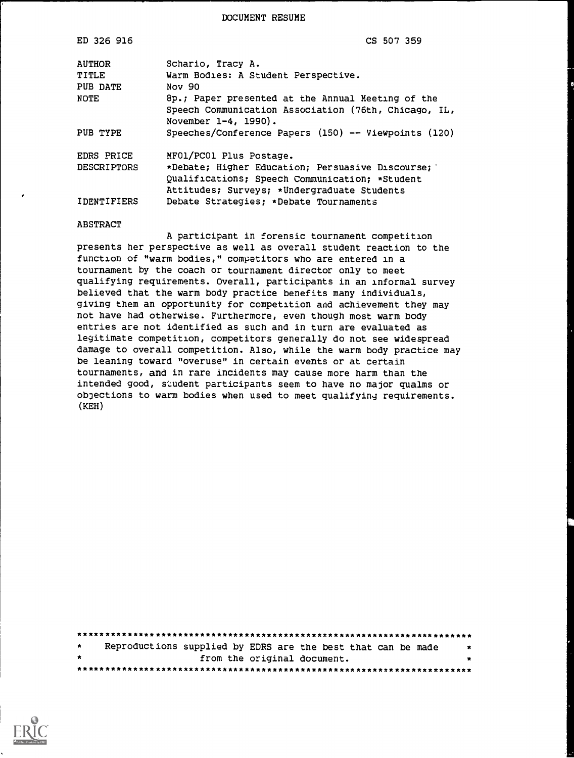DOCUMENT RESUME

| ED 326 916         | CS 507 359                                                                                                                                        |
|--------------------|---------------------------------------------------------------------------------------------------------------------------------------------------|
| <b>AUTHOR</b>      | Schario, Tracy A.                                                                                                                                 |
| <b>TITLE</b>       | Warm Bodies: A Student Perspective.                                                                                                               |
| PUB DATE           | Nov 90                                                                                                                                            |
| NOTE               | 8p.; Paper presented at the Annual Meeting of the<br>Speech Communication Association (76th, Chicago, IL,<br>November 1-4, 1990).                 |
| PUB TYPE           | Speeches/Conference Papers $(150)$ -- Viewpoints $(120)$                                                                                          |
| EDRS PRICE         | MFO1/PCO1 Plus Postage.                                                                                                                           |
| <b>DESCRIPTORS</b> | *Debate; Higher Education; Persuasive Discourse;<br>Qualifications; Speech Communication; *Student<br>Attitudes; Surveys; *Undergraduate Students |
| IDENTIFIERS        | Debate Strategies; *Debate Tournaments                                                                                                            |

#### **ABSTRACT**

A participant in forensic tournament competition presents her perspective as well as overall student reaction to the function of "warm bodies," competitors who are entered in a tournament by the coach or tournament director only to meet qualifying requirements. Overall, participants in an informal survey believed that the warm body practice benefits many individuals, giving them an opportunity for competition and achievement they may not have had otherwise. Furthermore, even though most warm body entries are not identified as such and in turn are evaluated as legitimate competition, competitors generally do not see widespread damage to overall competition. Also, while the warm body practice may be leaning toward "overuse" in certain events or at certain tournaments, and in rare incidents may cause more harm than the intended good, student participants seem to have no major qualms or objections to warm bodies when used to meet qualifying requirements.  $(KEH)$ 

| $\mathbf{r}$ |  | Reproductions supplied by EDRS are the best that can be made | $\star$ |
|--------------|--|--------------------------------------------------------------|---------|
| $\star$      |  | from the original document.                                  | $\star$ |
|              |  |                                                              |         |

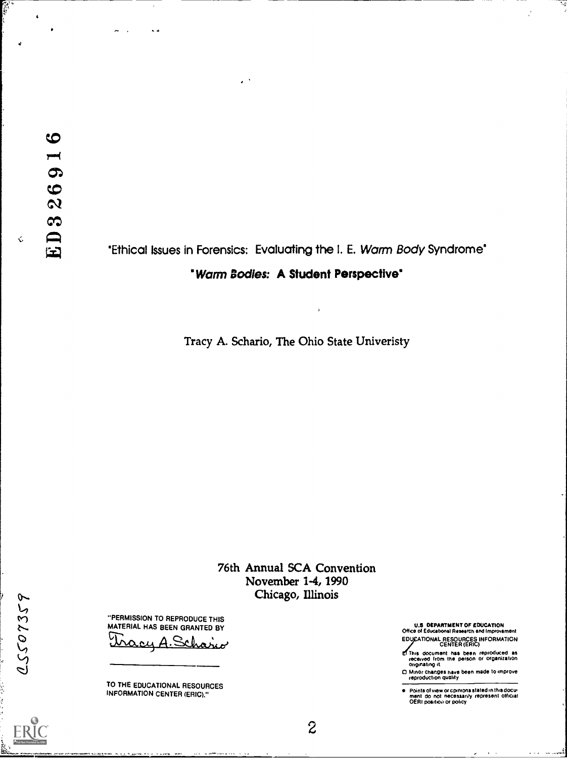$\zeta$ 

9520555

经济学

 $\mathbf{r}$ 

"Ethical Issues in Forensics: Evaluating the I. E. Warm Body Syndrome"

### "Warm Bodies: A Student Perspective"

Tracy A. Schario, The Ohio State Univeristy

76th Annual SCA Convention November 1-4, 1990 Chicago, Illinois

"PERMISSION TO REPRODUCE THIS MATERIAL HAS BEEN GRANTED BY দ

 $\alpha$ cy A.S

TO THE EDUCATIONAL RESOURCES **INFORMATION CENTER (ERIC)."** 

U.S. DEPARTMENT OF EDUCATION<br>Office of Educational Research and Improvament EDUCATIONAL RESOURCES INFORMATION<br>CENTER (ERIC)

This document has been reproduced as<br>received from the person or organization<br>originating it.

□ Minor changes have been made to improve<br>reproduction quality

Points of view or connions stated in this document do not inecessarily represent official<br>DERI position or policy

 $\mathbf{z}$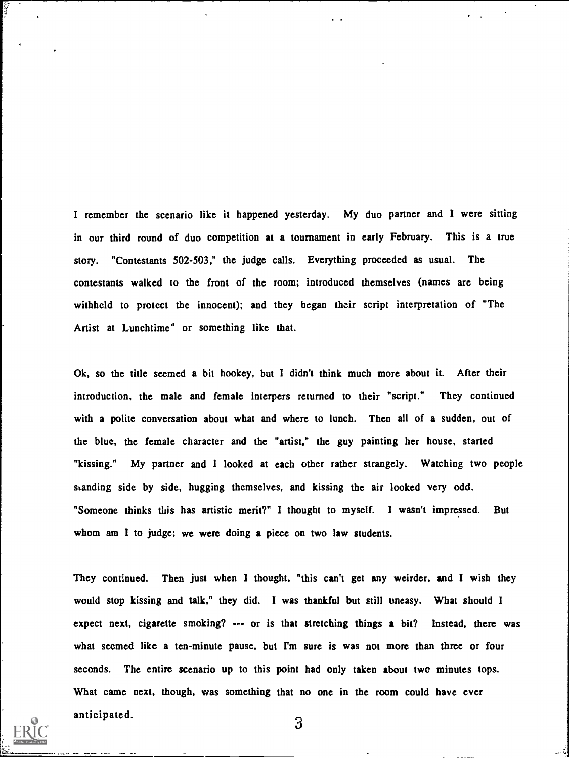I remember the scenario like it happened yesterday. My duo partner and I were sitting in our third round of duo competition at a tournament in early February. This is a true story. "Contestants 502-503," the judge calls. Everything proceeded as usual. The contestants walked to the front of the room; introduced themselves (names are being withheld to protect the innocent); and they began their script interpretation of "The Artist at Lunchtime" or something like that.

Ok, so the title seemed a bit hookey, but I didn't think much more about it. After their introduction, the male and female interpers returned to their "script." They continued with a polite conversation about what and where to lunch. Then all of a sudden, out of the blue, the female character and the "artist," the guy painting her house, started "kissing." My partner and I looked at each other rather strangely. Watching two people sianding side by side, hugging themselves, and kissing the air looked very odd. "Someone thinks this has artistic merit?" I thought to myself. I wasn't impressed. But whom am I to judge; we were doing a piece on two law students.

They continued. Then just when I thought, "this can't get any weirder, and I wish they would stop kissing and talk," they did. I was thankful but still uneasy. What should I expect next, cigarette smoking? --- or is that stretching things a bit? Instead, there was what seemed like a ten-minute pause, but I'm sure is was not more than three or four seconds. The entire scenario up to this point had only taken about two minutes tops. What came next, though, was something that no one in the room could have ever anticipated.  $\overline{3}$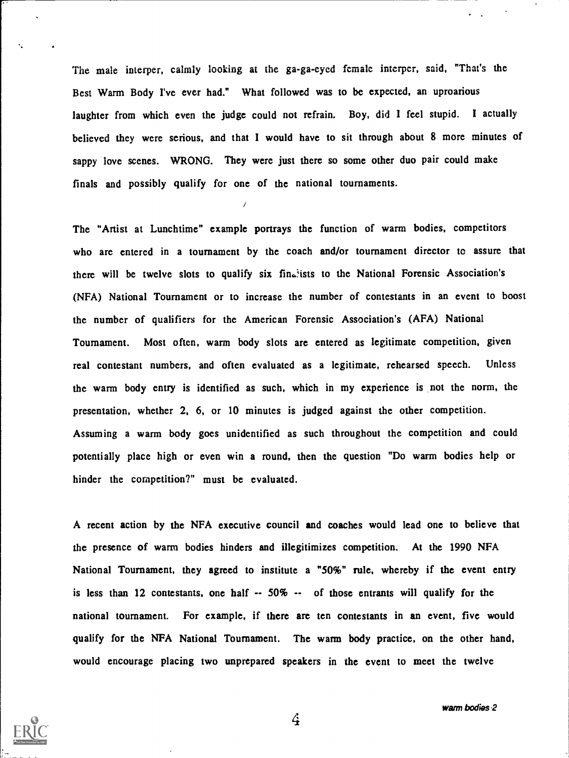The male interper, calmly looking at the ga-ga-eyed female interper, said, "That's the Best Warm Body I've ever had." What followed was to be expected, an uproarious laughter from which even the judge could not refrain. Boy, did I feel stupid. I actually believed they were serious, and that I would have to sit through about 8 more minutes of sappy love scenes. WRONG. They were just there so some other duo pair could make finals and possibly qualify for one of the national tournaments.

/

The "Artist at Lunchtime" example portrays the function of warm bodies, competitors who are entered in a tournament by the coach and/or tournament director to assure that there will be twelve slots to qualify six fin., ists to the National Forensic Association's (NFA) National Tournament or to increase the number of contestants in an event to boost the number of qualifiers for the American Forensic Association's (AFA) National Tournament. Most often, warm body slots are entered as legitimate competition, given real contestant numbers, and often evaluated as a legitimate, rehearsed speech. Unless the warm body entry is identified as such, which in my experience is not the norm, the presentation, whether 2, 6, or 10 minutes is judged against the other competition. Assuming a warm body goes unidentified as such throughout the competition and could potentially place high or even win a round, then the question "Do warm bodies help or hinder the competition?" must be evaluated.

A recent action by the NFA executive council and coaches would lead one to believe that the presence of warm bodies hinders and illegitimizes competition. At the 1990 NFA National Tournament, they agreed to institute a "50%" rule, whereby if the event entry is less than 12 contestants, one half -- 50% -- of those entrants will qualify for the national tournament. For example, if there are ten contestants in an event, five would qualify for the NFA National Tournament. The warm body practice, on the other hand, would encourage placing two unprepared speakers in the event to meet the twelve



warm bodies 2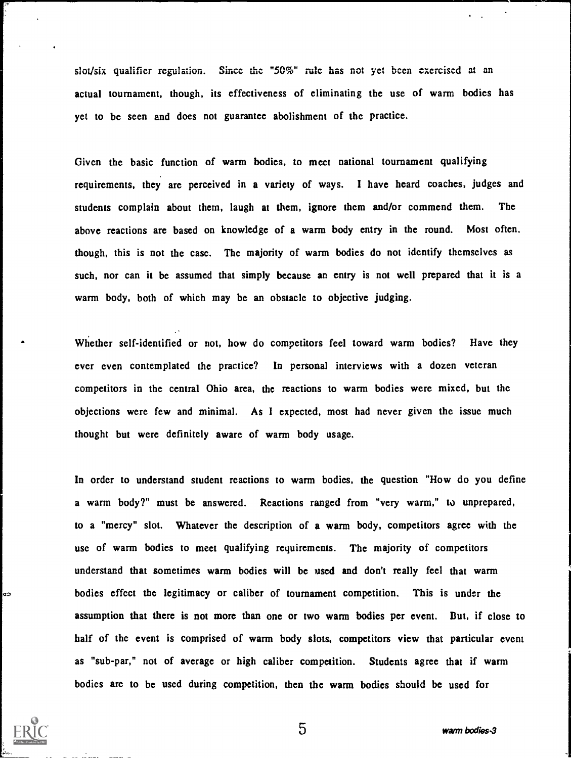slot/six qualifier regulation. Since the "50%" rule has not yet been exercised at an actual tournament, though, its effectiveness of eliminating the use of warm bodies has yet to be seen and does not guarantee abolishment of the practice.

Given the basic function of warm bodies, to meet national tournament qualifying requirements, they are perceived in a variety of ways. I have heard coaches, judges and students complain about them, laugh at them, ignore them and/or commend them. The above reactions are based on knowledge of a warm body entry in the round. Most often. though, this is not the case. The majority of warm bodies do not identify themselves as such, nor can it be assumed that simply because an entry is not well prepared that it is a warm body, both of which may be an obstacle to objective judging.

Whether self-identified or not, how do competitors feel toward warm bodies? Have they ever even contemplated the practice? In personal interviews with a dozen veteran competitors in the central Ohio area, the reactions to warm bodies were mixed, but the objections were few and minimal. As I expected, most had never given the issue much thought but were definitely aware of warm body usage.

In order to understand student reactions to warm bodies, the question "How do you define a warm body?" must be answered. Reactions ranged from "very warm," to unprepared, to a "mercy" slot. Whatever the description of a warm body, competitors agree with the use of warm bodies to meet qualifying requirements. The majority of competitors understand that sometimes warm bodies will be used and don't really feel that warm bodies effect the legitimacy or caliber of tournament competition. This is under the assumption that there is not more than one or two warm bodies per event. But, if close to half of the event is comprised of warm body slots, competitors view that particular event as "sub-par," not of average or high caliber competition. Students agree that if warm bodies are to be used during competition, then the warm bodies should be used for



۵Ś

5 warm bodies-3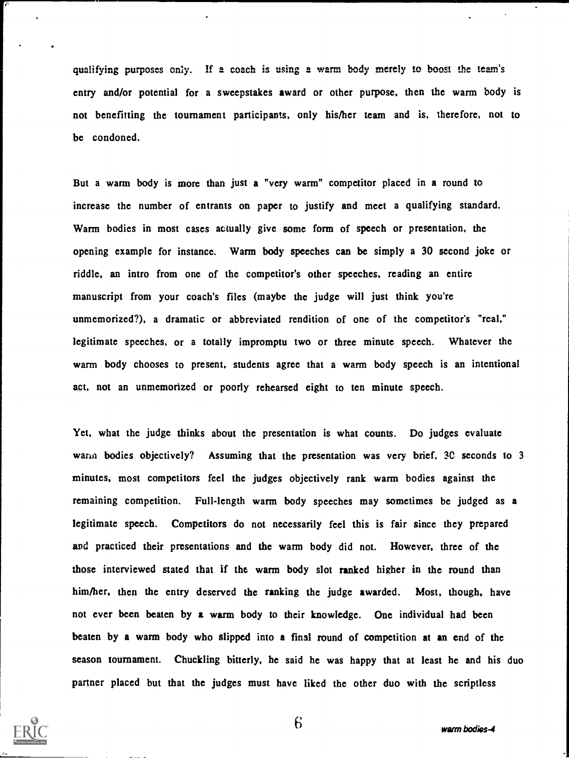qualifying purposes only. If a coach is using a warm body merely to boost the team's entry and/or potential for a sweepstakes award or other purpose, then the warm body is not benefitting the tournament participants, only his/her team and is, therefore, not to be condoned.

But a warm body is more than just a "very warm" competitor placed in a round to increase the number of entrants on paper to justify and meet a qualifying standard. Warm bodies in most cases actually give some form of speech or presentation, the opening example for instance. Warm body speeches can be simply a 30 second joke or riddle, an intro from one of the competitor's other speeches, reading an entire manuscript from your coach's files (maybe the judge will just think you're unmemorized?), a dramatic or abbreviated rendition of one of the competitor's "real," legitimate speeches, or a totally impromptu two or three minute speech. Whatever the warm body chooses to present, students agree that a warm body speech is an intentional act, not an unmemorized or poorly rehearsed eight to ten minute speech.

Yet, what the judge thinks about the presentation is what counts. Do judges evaluate warm bodies objectively? Assuming that the presentation was very brief, 30 seconds to 3 minutes, most competitors feel the judges objectively rank warm bodies against the remaining competition. Full-length warm body speeches may sometimes be judged as a legitimate speech. Competitors do not necessarily feel this is fair since they prepared and practiced their presentations and the warm body did not. However, three of the those interviewed stated that if the warm body slot ranked higher in the round than him/her, then the entry deserved the ranking the judge awarded. Most, though, have not ever been beaten by a warm body to their knowledge. One individual had been beaten by a warm body who slipped into a final round of competition at an end of the season tournament. Chuckling bitterly, he said he was happy that at least he and his duo partner placed but that the judges must have liked the other duo with the scriptless



 $6$  warm bodies-4

 $\ddot{\phantom{a}}$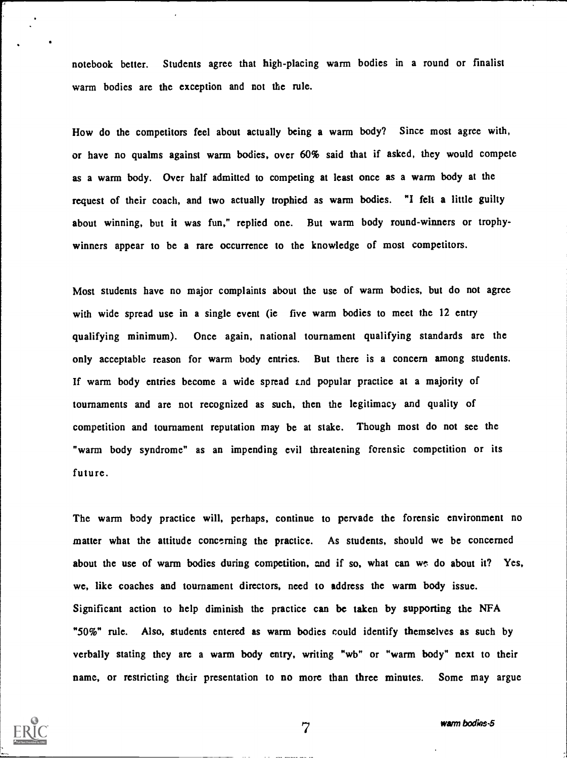notebook better. Students agree that high-placing warm bodies in a round or finalist warm bodies are the exception and not the rule.

How do the competitors feel about actually being a warm body? Since most agree with, or have no qualms against warm bodies, over 60% said that if asked, they would compete as a warm body. Over half admitted to competing at least once as a warm body at the request of their coach, and two actually trophied as warm bodies. "I felt a little guilty about winning, but it was fun," replied one. But warm body round-winners or trophywinners appear to be a rare occurrence to the knowledge of most competitors.

Most students have no major complaints about the use of warm bodies, but do not agree with wide spread use in a single event (ie five warm bodies to meet the 12 entry qualifying minimum). Once again, national tournament qualifying standards are the only acceptable reason for warm body entries. But there is a concern among students. If warm body entries become a wide spread End popular practice at a majority of tournaments and are not recognized as such, then the legitimacy and quality of competition and tournament reputation may be at stake. Though most do not see the "warm body syndrome" as an impending evil threatening forensic competition or its future.

The warm body practice will, perhaps, continue to pervade the forensic environment no matter what the attitude concerning the practice. As students, should we be concerned about the use of warm bodies during competition, and if so, what can we do about it? Yes, we, like coaches and tournament directors, need to address the warm body issue. Significant action to help diminish the practice can be taken by supporting the NFA "50%" rule. Also, students entered as warm bodies could identify themselves as such by verbally stating they are a warm body entry, writing "wb" or "warm body" next to their name, or restricting their presentation to no more than three minutes. Some may argue



7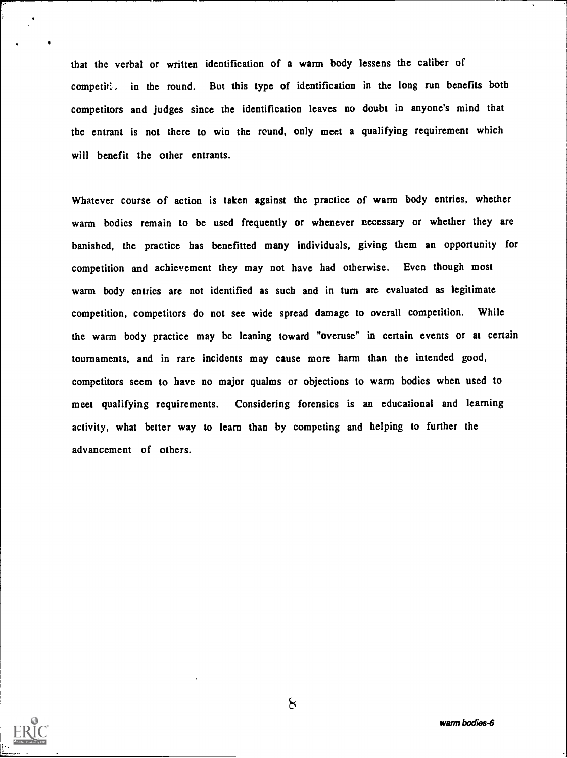that the verbal or written identification of a warm body lessens the caliber of competition in the round. But this type of identification in the long run benefits both competitors and judges since the identification leaves no doubt in anyone's mind that the entrant is not there to win the reund, only meet a qualifying requirement which will benefit the other entrants.

Whatever course of action is taken against the practice of warm body entries, whether warm bodies remain to be used frequently or whenever necessary or whether they are banished, the practice has benefitted many individuals, giving them an opportunity for competition and achievement they may not have had otherwise. Even though most warm body entries are not identified as such and in turn are evaluated as legitimate competition, competitors do not see wide spread damage to overall competition. While the warm body practice may be leaning toward "overuse" in certain events or at certain tournaments, and in rare incidents may cause more harm than the intended good, competitors seem to have no major qualms or objections to warm bodies when used to meet qualifying requirements. Considering forensics is an educational and learning activity, what better way to learn than by competing and helping to further the advancement of others.



 $\overline{\phantom{a}}$ 

s and the second second in the second second second in the second second second in the second second second second second second second second second second second second second second second second second second second se

 $\mathbf{s}$